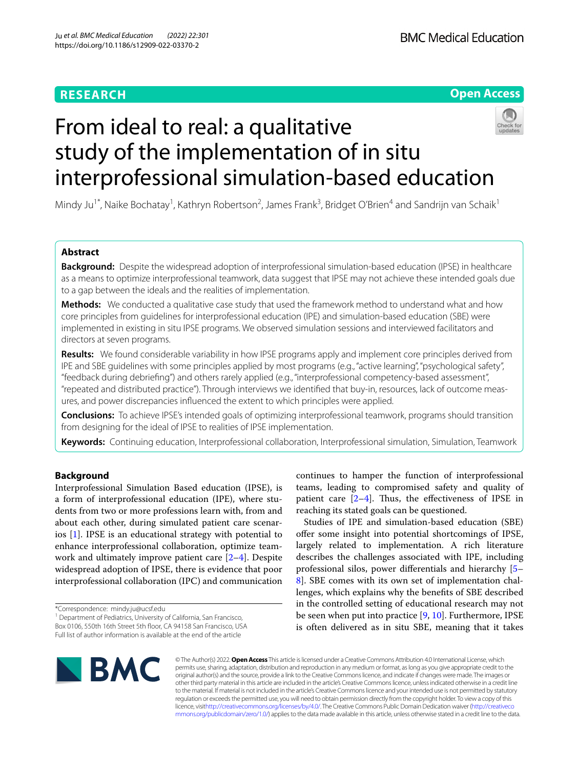# **RESEARCH**

# **Open Access**



# From ideal to real: a qualitative study of the implementation of in situ interprofessional simulation-based education

Mindy Ju<sup>1\*</sup>, Naike Bochatay<sup>1</sup>, Kathryn Robertson<sup>2</sup>, James Frank<sup>3</sup>, Bridget O'Brien<sup>4</sup> and Sandrijn van Schaik<sup>1</sup>

# **Abstract**

**Background:** Despite the widespread adoption of interprofessional simulation-based education (IPSE) in healthcare as a means to optimize interprofessional teamwork, data suggest that IPSE may not achieve these intended goals due to a gap between the ideals and the realities of implementation.

**Methods:** We conducted a qualitative case study that used the framework method to understand what and how core principles from guidelines for interprofessional education (IPE) and simulation-based education (SBE) were implemented in existing in situ IPSE programs. We observed simulation sessions and interviewed facilitators and directors at seven programs.

**Results:** We found considerable variability in how IPSE programs apply and implement core principles derived from IPE and SBE guidelines with some principles applied by most programs (e.g., "active learning", "psychological safety", "feedback during debriefng") and others rarely applied (e.g., "interprofessional competency-based assessment", "repeated and distributed practice"). Through interviews we identifed that buy-in, resources, lack of outcome measures, and power discrepancies infuenced the extent to which principles were applied.

**Conclusions:** To achieve IPSE's intended goals of optimizing interprofessional teamwork, programs should transition from designing for the ideal of IPSE to realities of IPSE implementation.

**Keywords:** Continuing education, Interprofessional collaboration, Interprofessional simulation, Simulation, Teamwork

# **Background**

Interprofessional Simulation Based education (IPSE), is a form of interprofessional education (IPE), where students from two or more professions learn with, from and about each other, during simulated patient care scenarios [[1\]](#page-9-0). IPSE is an educational strategy with potential to enhance interprofessional collaboration, optimize teamwork and ultimately improve patient care [\[2–](#page-9-1)[4\]](#page-9-2). Despite widespread adoption of IPSE, there is evidence that poor interprofessional collaboration (IPC) and communication

\*Correspondence: mindy.ju@ucsf.edu

<sup>1</sup> Department of Pediatrics, University of California, San Francisco, Box 0106, 550th 16th Street 5th foor, CA 94158 San Francisco, USA Full list of author information is available at the end of the article

continues to hamper the function of interprofessional teams, leading to compromised safety and quality of patient care  $[2-4]$  $[2-4]$ . Thus, the effectiveness of IPSE in reaching its stated goals can be questioned.

Studies of IPE and simulation-based education (SBE) offer some insight into potential shortcomings of IPSE, largely related to implementation. A rich literature describes the challenges associated with IPE, including professional silos, power diferentials and hierarchy [[5–](#page-9-3) [8\]](#page-9-4). SBE comes with its own set of implementation challenges, which explains why the benefts of SBE described in the controlled setting of educational research may not be seen when put into practice [[9,](#page-9-5) [10](#page-9-6)]. Furthermore, IPSE is often delivered as in situ SBE, meaning that it takes



© The Author(s) 2022. **Open Access** This article is licensed under a Creative Commons Attribution 4.0 International License, which permits use, sharing, adaptation, distribution and reproduction in any medium or format, as long as you give appropriate credit to the original author(s) and the source, provide a link to the Creative Commons licence, and indicate if changes were made. The images or other third party material in this article are included in the article's Creative Commons licence, unless indicated otherwise in a credit line to the material. If material is not included in the article's Creative Commons licence and your intended use is not permitted by statutory regulation or exceeds the permitted use, you will need to obtain permission directly from the copyright holder. To view a copy of this licence, visi[thttp://creativecommons.org/licenses/by/4.0/](http://creativecommons.org/licenses/by/4.0/). The Creative Commons Public Domain Dedication waiver [\(http://creativeco](http://creativecommons.org/publicdomain/zero/1.0/) [mmons.org/publicdomain/zero/1.0/](http://creativecommons.org/publicdomain/zero/1.0/)) applies to the data made available in this article, unless otherwise stated in a credit line to the data.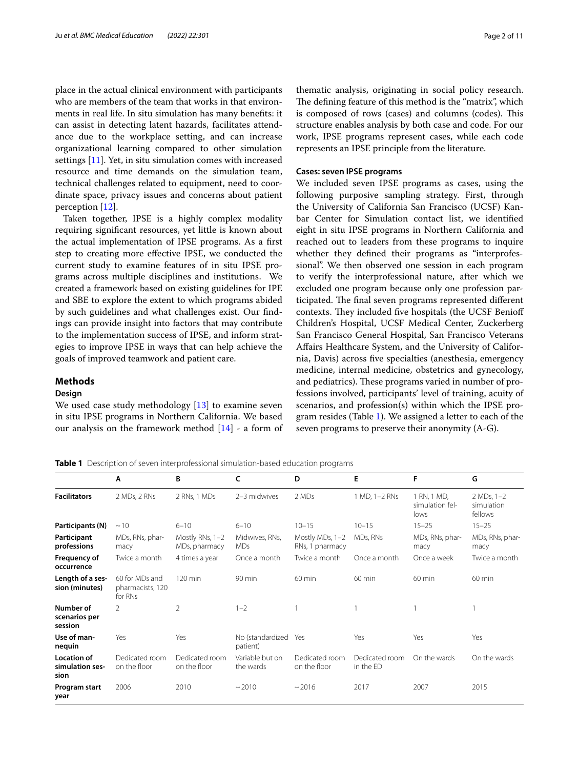place in the actual clinical environment with participants who are members of the team that works in that environments in real life. In situ simulation has many benefts: it can assist in detecting latent hazards, facilitates attendance due to the workplace setting, and can increase organizational learning compared to other simulation settings [[11\]](#page-9-7). Yet, in situ simulation comes with increased resource and time demands on the simulation team, technical challenges related to equipment, need to coordinate space, privacy issues and concerns about patient perception [\[12](#page-9-8)].

Taken together, IPSE is a highly complex modality requiring signifcant resources, yet little is known about the actual implementation of IPSE programs. As a frst step to creating more efective IPSE, we conducted the current study to examine features of in situ IPSE programs across multiple disciplines and institutions. We created a framework based on existing guidelines for IPE and SBE to explore the extent to which programs abided by such guidelines and what challenges exist. Our fndings can provide insight into factors that may contribute to the implementation success of IPSE, and inform strategies to improve IPSE in ways that can help achieve the goals of improved teamwork and patient care.

#### **Methods**

#### **Design**

We used case study methodology [\[13](#page-9-9)] to examine seven in situ IPSE programs in Northern California. We based our analysis on the framework method [\[14](#page-9-10)] - a form of

thematic analysis, originating in social policy research. The defining feature of this method is the "matrix", which is composed of rows (cases) and columns (codes). This structure enables analysis by both case and code. For our work, IPSE programs represent cases, while each code represents an IPSE principle from the literature.

## **Cases: seven IPSE programs**

We included seven IPSE programs as cases, using the following purposive sampling strategy. First, through the University of California San Francisco (UCSF) Kanbar Center for Simulation contact list, we identifed eight in situ IPSE programs in Northern California and reached out to leaders from these programs to inquire whether they defned their programs as "interprofessional". We then observed one session in each program to verify the interprofessional nature, after which we excluded one program because only one profession participated. The final seven programs represented different contexts. They included five hospitals (the UCSF Benioff Children's Hospital, UCSF Medical Center, Zuckerberg San Francisco General Hospital, San Francisco Veterans Afairs Healthcare System, and the University of California, Davis) across fve specialties (anesthesia, emergency medicine, internal medicine, obstetrics and gynecology, and pediatrics). These programs varied in number of professions involved, participants' level of training, acuity of scenarios, and profession(s) within which the IPSE program resides (Table [1\)](#page-1-0). We assigned a letter to each of the seven programs to preserve their anonymity (A-G).

<span id="page-1-0"></span>**Table 1** Description of seven interprofessional simulation-based education programs

|                                               | Α                                             | B                                | c                            | D                                  | E.                          | F                                      | G                                     |
|-----------------------------------------------|-----------------------------------------------|----------------------------------|------------------------------|------------------------------------|-----------------------------|----------------------------------------|---------------------------------------|
| <b>Facilitators</b>                           | 2 MDs, 2 RNs                                  | 2 RNs, 1 MDs                     | 2-3 midwives                 | 2 MDs                              | 1 MD, 1-2 RNs               | 1 RN, 1 MD,<br>simulation fel-<br>lows | $2 MDs, 1-2$<br>simulation<br>fellows |
| Participants (N)                              | $\sim$ 10                                     | $6 - 10$                         | $6 - 10$                     | $10 - 15$                          | $10 - 15$                   | $15 - 25$                              | $15 - 25$                             |
| Participant<br>professions                    | MDs, RNs, phar-<br>macy                       | Mostly RNs, 1-2<br>MDs, pharmacy | Midwives, RNs,<br><b>MDs</b> | Mostly MDs, 1-2<br>RNs, 1 pharmacy | MDs, RNs                    | MDs, RNs, phar-<br>macy                | MDs, RNs, phar-<br>macy               |
| Frequency of<br>occurrence                    | Twice a month                                 | 4 times a year                   | Once a month                 | Twice a month                      | Once a month                | Once a week                            | Twice a month                         |
| Length of a ses-<br>sion (minutes)            | 60 for MDs and<br>pharmacists, 120<br>for RNs | $120 \text{ min}$                | $90$ min                     | $60 \text{ min}$                   | $60 \text{ min}$            | 60 min                                 | $60 \text{ min}$                      |
| Number of<br>scenarios per<br>session         | 2                                             | 2                                | $1 - 2$                      |                                    |                             |                                        |                                       |
| Use of man-<br>nequin                         | Yes                                           | Yes                              | No (standardized<br>patient) | Yes                                | Yes                         | Yes                                    | Yes                                   |
| <b>Location of</b><br>simulation ses-<br>sion | Dedicated room<br>on the floor                | Dedicated room<br>on the floor   | Variable but on<br>the wards | Dedicated room<br>on the floor     | Dedicated room<br>in the ED | On the wards                           | On the wards                          |
| Program start<br>year                         | 2006                                          | 2010                             | ~2010                        | ~2016                              | 2017                        | 2007                                   | 2015                                  |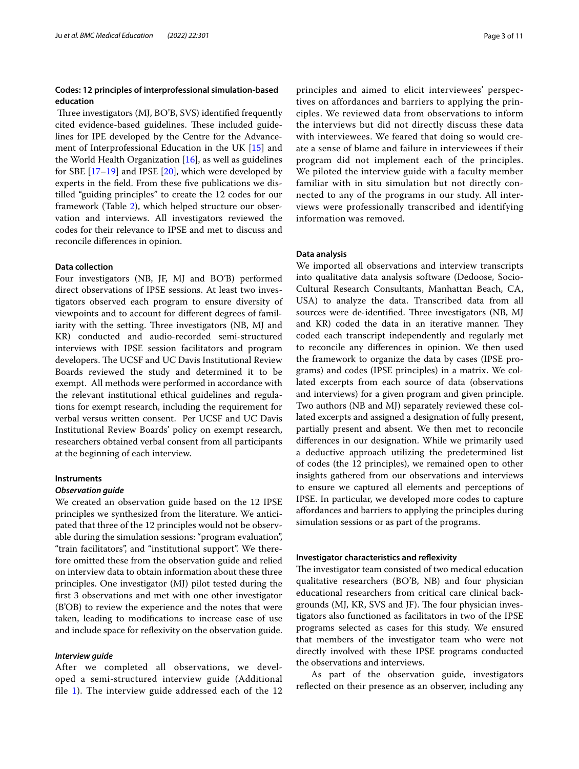# **Codes: 12 principles of interprofessional simulation‑based education**

Three investigators (MJ, BO'B, SVS) identified frequently cited evidence-based guidelines. These included guidelines for IPE developed by the Centre for the Advancement of Interprofessional Education in the UK [[15\]](#page-9-11) and the World Health Organization [[16\]](#page-9-12), as well as guidelines for SBE  $[17-19]$  $[17-19]$  $[17-19]$  and IPSE  $[20]$  $[20]$  $[20]$ , which were developed by experts in the feld. From these fve publications we distilled "guiding principles" to create the 12 codes for our framework (Table [2\)](#page-3-0), which helped structure our observation and interviews. All investigators reviewed the codes for their relevance to IPSE and met to discuss and reconcile diferences in opinion.

#### **Data collection**

Four investigators (NB, JF, MJ and BO'B) performed direct observations of IPSE sessions. At least two investigators observed each program to ensure diversity of viewpoints and to account for diferent degrees of familiarity with the setting. Three investigators (NB, MJ and KR) conducted and audio-recorded semi-structured interviews with IPSE session facilitators and program developers. The UCSF and UC Davis Institutional Review Boards reviewed the study and determined it to be exempt. All methods were performed in accordance with the relevant institutional ethical guidelines and regulations for exempt research, including the requirement for verbal versus written consent. Per UCSF and UC Davis Institutional Review Boards' policy on exempt research, researchers obtained verbal consent from all participants at the beginning of each interview.

#### **Instruments**

#### *Observation guide*

We created an observation guide based on the 12 IPSE principles we synthesized from the literature. We anticipated that three of the 12 principles would not be observable during the simulation sessions: "program evaluation", "train facilitators", and "institutional support". We therefore omitted these from the observation guide and relied on interview data to obtain information about these three principles. One investigator (MJ) pilot tested during the frst 3 observations and met with one other investigator (B'OB) to review the experience and the notes that were taken, leading to modifcations to increase ease of use and include space for refexivity on the observation guide.

# *Interview guide*

After we completed all observations, we developed a semi-structured interview guide (Additional file  $1$ ). The interview guide addressed each of the 12 principles and aimed to elicit interviewees' perspectives on affordances and barriers to applying the principles. We reviewed data from observations to inform the interviews but did not directly discuss these data with interviewees. We feared that doing so would create a sense of blame and failure in interviewees if their program did not implement each of the principles. We piloted the interview guide with a faculty member familiar with in situ simulation but not directly connected to any of the programs in our study. All interviews were professionally transcribed and identifying information was removed.

# **Data analysis**

We imported all observations and interview transcripts into qualitative data analysis software (Dedoose, Socio-Cultural Research Consultants, Manhattan Beach, CA, USA) to analyze the data. Transcribed data from all sources were de-identified. Three investigators (NB, MJ and KR) coded the data in an iterative manner. They coded each transcript independently and regularly met to reconcile any diferences in opinion. We then used the framework to organize the data by cases (IPSE programs) and codes (IPSE principles) in a matrix. We collated excerpts from each source of data (observations and interviews) for a given program and given principle. Two authors (NB and MJ) separately reviewed these collated excerpts and assigned a designation of fully present, partially present and absent. We then met to reconcile diferences in our designation. While we primarily used a deductive approach utilizing the predetermined list of codes (the 12 principles), we remained open to other insights gathered from our observations and interviews to ensure we captured all elements and perceptions of IPSE. In particular, we developed more codes to capture afordances and barriers to applying the principles during simulation sessions or as part of the programs.

#### **Investigator characteristics and refexivity**

The investigator team consisted of two medical education qualitative researchers (BO'B, NB) and four physician educational researchers from critical care clinical backgrounds (MJ, KR, SVS and JF). The four physician investigators also functioned as facilitators in two of the IPSE programs selected as cases for this study. We ensured that members of the investigator team who were not directly involved with these IPSE programs conducted the observations and interviews.

 As part of the observation guide, investigators refected on their presence as an observer, including any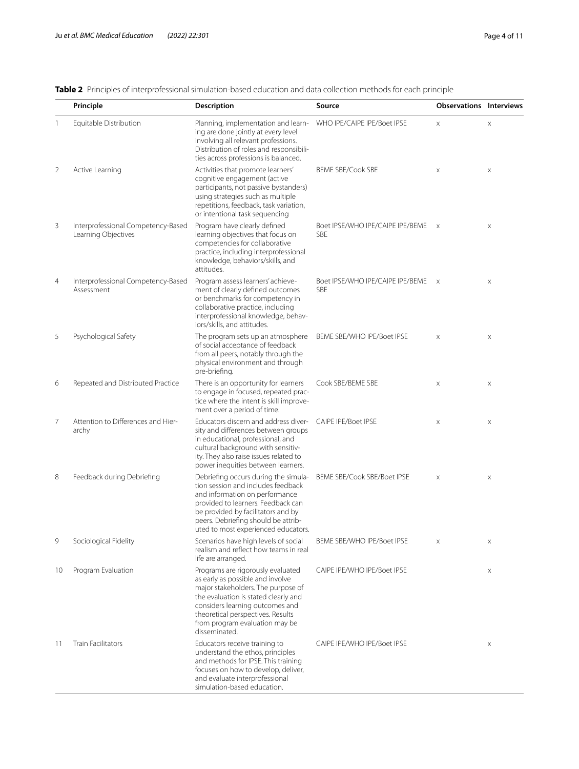|    | Principle                                                 | <b>Description</b>                                                                                                                                                                                                                                                             | Source                                         | <b>Observations Interviews</b> |   |
|----|-----------------------------------------------------------|--------------------------------------------------------------------------------------------------------------------------------------------------------------------------------------------------------------------------------------------------------------------------------|------------------------------------------------|--------------------------------|---|
| 1  | Equitable Distribution                                    | Planning, implementation and learn-<br>ing are done jointly at every level<br>involving all relevant professions.<br>Distribution of roles and responsibili-<br>ties across professions is balanced.                                                                           | WHO IPE/CAIPE IPE/Boet IPSE                    | X                              | X |
| 2  | Active Learning                                           | Activities that promote learners'<br>cognitive engagement (active<br>participants, not passive bystanders)<br>using strategies such as multiple<br>repetitions, feedback, task variation,<br>or intentional task sequencing                                                    | <b>BEME SBE/Cook SBE</b>                       | $\times$                       | X |
| 3  | Interprofessional Competency-Based<br>Learning Objectives | Program have clearly defined<br>learning objectives that focus on<br>competencies for collaborative<br>practice, including interprofessional<br>knowledge, behaviors/skills, and<br>attitudes.                                                                                 | Boet IPSE/WHO IPE/CAIPE IPE/BEME<br><b>SBE</b> | $\times$                       | X |
| 4  | Interprofessional Competency-Based<br>Assessment          | Program assess learners' achieve-<br>ment of clearly defined outcomes<br>or benchmarks for competency in<br>collaborative practice, including<br>interprofessional knowledge, behav-<br>iors/skills, and attitudes.                                                            | Boet IPSE/WHO IPE/CAIPE IPE/BEME<br><b>SBE</b> | $\times$                       | X |
| 5  | Psychological Safety                                      | The program sets up an atmosphere<br>of social acceptance of feedback<br>from all peers, notably through the<br>physical environment and through<br>pre-briefing.                                                                                                              | BEME SBE/WHO IPE/Boet IPSE                     | X                              | X |
| 6  | Repeated and Distributed Practice                         | There is an opportunity for learners<br>to engage in focused, repeated prac-<br>tice where the intent is skill improve-<br>ment over a period of time.                                                                                                                         | Cook SBE/BEME SBE                              | X                              | X |
| 7  | Attention to Differences and Hier-<br>archy               | Educators discern and address diver-<br>sity and differences between groups<br>in educational, professional, and<br>cultural background with sensitiv-<br>ity. They also raise issues related to<br>power inequities between learners.                                         | <b>CAIPE IPE/Boet IPSE</b>                     | X                              | X |
| 8  | Feedback during Debriefing                                | Debriefing occurs during the simula-<br>tion session and includes feedback<br>and information on performance<br>provided to learners. Feedback can<br>be provided by facilitators and by<br>peers. Debriefing should be attrib-<br>uted to most experienced educators.         | BEME SBE/Cook SBE/Boet IPSE                    | X                              | X |
| 9  | Sociological Fidelity                                     | Scenarios have high levels of social<br>realism and reflect how teams in real<br>life are arranged.                                                                                                                                                                            | BEME SBE/WHO IPE/Boet IPSE                     | $\times$                       | Χ |
| 10 | Program Evaluation                                        | Programs are rigorously evaluated<br>as early as possible and involve<br>major stakeholders. The purpose of<br>the evaluation is stated clearly and<br>considers learning outcomes and<br>theoretical perspectives. Results<br>from program evaluation may be<br>disseminated. | CAIPE IPE/WHO IPE/Boet IPSE                    |                                | X |
| 11 | <b>Train Facilitators</b>                                 | Educators receive training to<br>understand the ethos, principles<br>and methods for IPSE. This training<br>focuses on how to develop, deliver,<br>and evaluate interprofessional<br>simulation-based education.                                                               | CAIPE IPE/WHO IPE/Boet IPSE                    |                                | X |

<span id="page-3-0"></span>**Table 2** Principles of interprofessional simulation-based education and data collection methods for each principle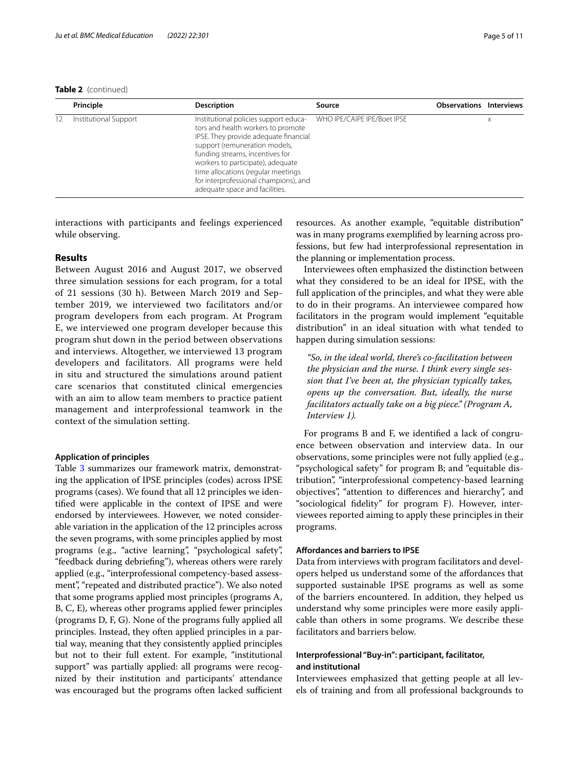**Table 2** (continued)

| Principle             | <b>Description</b>                                                                                                                                                                                                                                                                                                                             | Source                      | <b>Observations Interviews</b> |   |
|-----------------------|------------------------------------------------------------------------------------------------------------------------------------------------------------------------------------------------------------------------------------------------------------------------------------------------------------------------------------------------|-----------------------------|--------------------------------|---|
| Institutional Support | Institutional policies support educa-<br>tors and health workers to promote<br>IPSE. They provide adequate financial<br>support (remuneration models,<br>funding streams, incentives for<br>workers to participate), adequate<br>time allocations (regular meetings<br>for interprofessional champions), and<br>adequate space and facilities. | WHO IPE/CAIPE IPE/Boet IPSE |                                | X |

interactions with participants and feelings experienced while observing.

# **Results**

Between August 2016 and August 2017, we observed three simulation sessions for each program, for a total of 21 sessions (30 h). Between March 2019 and September 2019, we interviewed two facilitators and/or program developers from each program. At Program E, we interviewed one program developer because this program shut down in the period between observations and interviews. Altogether, we interviewed 13 program developers and facilitators. All programs were held in situ and structured the simulations around patient care scenarios that constituted clinical emergencies with an aim to allow team members to practice patient management and interprofessional teamwork in the context of the simulation setting.

## **Application of principles**

Table [3](#page-5-0) summarizes our framework matrix, demonstrating the application of IPSE principles (codes) across IPSE programs (cases). We found that all 12 principles we identifed were applicable in the context of IPSE and were endorsed by interviewees. However, we noted considerable variation in the application of the 12 principles across the seven programs, with some principles applied by most programs (e.g., "active learning", "psychological safety", "feedback during debriefng"), whereas others were rarely applied (e.g., "interprofessional competency-based assessment", "repeated and distributed practice"). We also noted that some programs applied most principles (programs A, B, C, E), whereas other programs applied fewer principles (programs D, F, G). None of the programs fully applied all principles. Instead, they often applied principles in a partial way, meaning that they consistently applied principles but not to their full extent. For example, "institutional support" was partially applied: all programs were recognized by their institution and participants' attendance was encouraged but the programs often lacked sufficient resources. As another example, "equitable distribution" was in many programs exemplifed by learning across professions, but few had interprofessional representation in the planning or implementation process.

Interviewees often emphasized the distinction between what they considered to be an ideal for IPSE, with the full application of the principles, and what they were able to do in their programs. An interviewee compared how facilitators in the program would implement "equitable distribution" in an ideal situation with what tended to happen during simulation sessions:

*"So, in the ideal world, there's co-facilitation between the physician and the nurse. I think every single session that I've been at, the physician typically takes, opens up the conversation. But, ideally, the nurse facilitators actually take on a big piece." (Program A, Interview 1).*

For programs B and F, we identifed a lack of congruence between observation and interview data. In our observations, some principles were not fully applied (e.g., "psychological safety" for program B; and "equitable distribution", "interprofessional competency-based learning objectives", "attention to diferences and hierarchy", and "sociological fdelity" for program F). However, interviewees reported aiming to apply these principles in their programs.

## **Afordances and barriers to IPSE**

Data from interviews with program facilitators and developers helped us understand some of the afordances that supported sustainable IPSE programs as well as some of the barriers encountered. In addition, they helped us understand why some principles were more easily applicable than others in some programs. We describe these facilitators and barriers below.

# **Interprofessional "Buy‑in": participant, facilitator, and institutional**

Interviewees emphasized that getting people at all levels of training and from all professional backgrounds to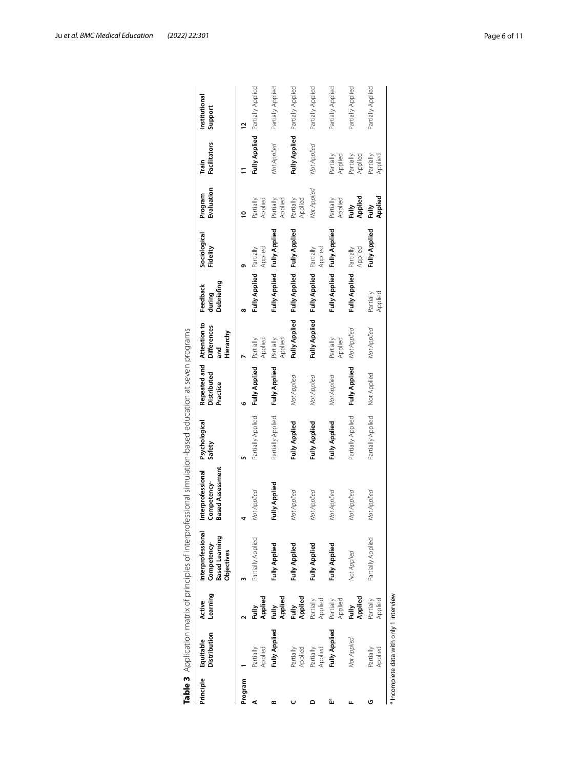|           |                                       |                      |                                                                  | Table 3 Application matrix of principles of interprofessional simulation-based education at seven programs |                         |                                         |                                                        |                                  |                          |                       |                       |                                 |
|-----------|---------------------------------------|----------------------|------------------------------------------------------------------|------------------------------------------------------------------------------------------------------------|-------------------------|-----------------------------------------|--------------------------------------------------------|----------------------------------|--------------------------|-----------------------|-----------------------|---------------------------------|
| Principle | Distribution<br>Equitable             | Learning<br>Active   | Interprofessional<br>Competency-<br>Based Learning<br>Objectives | <b>Based Assessment</b><br>Interprofessional<br>Competency-                                                | Psychological<br>Safety | Repeated and<br>Distributed<br>Practice | Attention to<br><b>Differences</b><br>Hierarchy<br>and | Debriefing<br>Feedback<br>during | Sociological<br>Fidelity | Evaluation<br>Program | Facilitators<br>Train | Institutional<br>Support        |
| Program   |                                       |                      |                                                                  |                                                                                                            |                         | ۰                                       |                                                        | $\infty$                         | თ                        | ₽                     |                       | 2                               |
|           | Applied<br>Partially                  | Applied              | Partially Applied                                                | Not Applied                                                                                                | Partially Applied       | <b>Fully Applied</b>                    | Applied<br>Partially                                   | <b>Fully Applied</b>             | Applied<br>Partially     | Applied<br>Partially  | <b>Fully Applied</b>  | Partially Applied               |
|           | Fully Applied                         | Applied<br>Fully     | <b>Fully Applied</b>                                             | Fully Applied                                                                                              | Partially Applied       | Fully Applied                           | Applied<br>Partially                                   | <b>Fully Applied</b>             | Fully Applied            | Applied<br>Partially  | Not Applied           | Partially Applied               |
|           | Applied<br>Partially                  | Applied<br>Fully     | <b>Fully Applied</b>                                             | Not Applied                                                                                                | <b>Fully Applied</b>    | Not Applied                             | <b>Fully Applied</b>                                   | <b>Fully Applied</b>             | <b>Fully Applied</b>     | Applied<br>Partially  |                       | Fully Applied Partially Applied |
|           | Applied<br>Partially                  | Applied<br>Partially | <b>Fully Applied</b>                                             | Not Applied                                                                                                | <b>Fully Applied</b>    | Not Applied                             | <b>Fully Applied</b>                                   | Fully Applied Partially          | Applied                  | Not Applied           | Not Applied           | Partially Applied               |
| ů.        | <b>Fully Applied</b>                  | Partially<br>Applied | Fully Applied                                                    | Not Applied                                                                                                | <b>Fully Applied</b>    | Not Applied                             | Applied<br>Partially                                   | <b>Fully Applied</b>             | <b>Fully Applied</b>     | Partially<br>Applied  | Partially<br>Applied  | Partially Applied               |
|           | Not Applied                           | Applied<br>Fully     | Not Applied                                                      | Not Applied                                                                                                | Partially Applied       | <b>Fully Applied</b>                    | Not Applied                                            | Fully Applied                    | Applied<br>Partially     | Applied<br>Fully      | Partially<br>Applied  | Partially Applied               |
|           | Applied<br>Partially                  | Partially<br>Applied | Partially Applied                                                | Not Applied                                                                                                | Partially Applied       | Not Applied                             | Not Applied                                            | Partially<br>Applied             | <b>Fully Applied</b>     | Applied<br>Fully      | Partially<br>Applied  | Partially Applied               |
|           | Incomplete data with only 1 interview |                      |                                                                  |                                                                                                            |                         |                                         |                                                        |                                  |                          |                       |                       |                                 |

<span id="page-5-0"></span>

| ごろろり ろりうこ こく                                                                                                   |
|----------------------------------------------------------------------------------------------------------------|
|                                                                                                                |
|                                                                                                                |
|                                                                                                                |
|                                                                                                                |
|                                                                                                                |
|                                                                                                                |
|                                                                                                                |
|                                                                                                                |
|                                                                                                                |
| りこうこうここ                                                                                                        |
|                                                                                                                |
|                                                                                                                |
|                                                                                                                |
|                                                                                                                |
|                                                                                                                |
|                                                                                                                |
|                                                                                                                |
|                                                                                                                |
|                                                                                                                |
|                                                                                                                |
|                                                                                                                |
|                                                                                                                |
| <br> <br> <br>                                                                                                 |
|                                                                                                                |
| )<br>5<br>5                                                                                                    |
|                                                                                                                |
|                                                                                                                |
| Annication matrix of principles of interprotessional simulation-based epicotion at sea<br>$\frac{3}{2}$ Applic |
|                                                                                                                |
|                                                                                                                |
|                                                                                                                |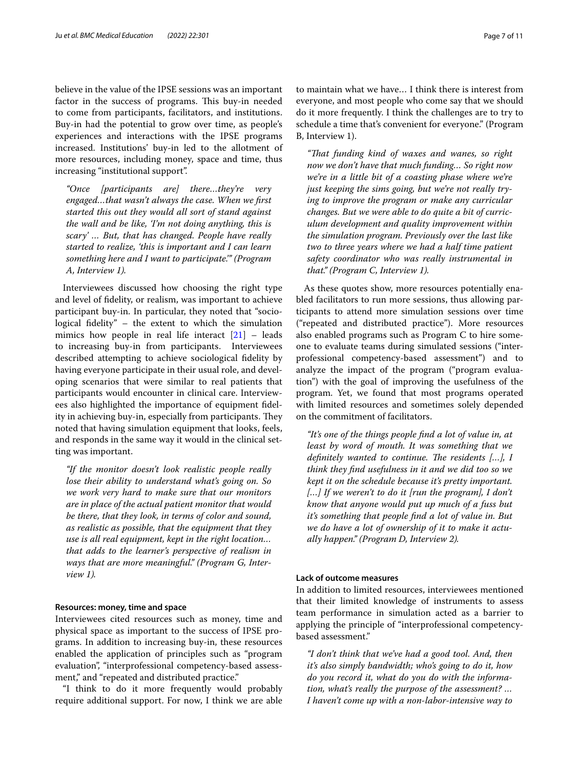believe in the value of the IPSE sessions was an important factor in the success of programs. This buy-in needed to come from participants, facilitators, and institutions. Buy-in had the potential to grow over time, as people's experiences and interactions with the IPSE programs increased. Institutions' buy-in led to the allotment of more resources, including money, space and time, thus increasing "institutional support".

*"Once [participants are] there…they're very engaged…that wasn't always the case. When we frst started this out they would all sort of stand against the wall and be like, 'I'm not doing anything, this is scary' … But, that has changed. People have really started to realize, 'this is important and I can learn something here and I want to participate.'" (Program A, Interview 1).*

Interviewees discussed how choosing the right type and level of fdelity, or realism, was important to achieve participant buy-in. In particular, they noted that "sociological fdelity" – the extent to which the simulation mimics how people in real life interact  $[21]$  – leads to increasing buy-in from participants. Interviewees described attempting to achieve sociological fdelity by having everyone participate in their usual role, and developing scenarios that were similar to real patients that participants would encounter in clinical care. Interviewees also highlighted the importance of equipment fdelity in achieving buy-in, especially from participants. They noted that having simulation equipment that looks, feels, and responds in the same way it would in the clinical setting was important.

*"If the monitor doesn't look realistic people really lose their ability to understand what's going on. So we work very hard to make sure that our monitors are in place of the actual patient monitor that would be there, that they look, in terms of color and sound, as realistic as possible, that the equipment that they use is all real equipment, kept in the right location… that adds to the learner's perspective of realism in ways that are more meaningful." (Program G, Interview 1).*

## **Resources: money, time and space**

Interviewees cited resources such as money, time and physical space as important to the success of IPSE programs. In addition to increasing buy-in, these resources enabled the application of principles such as "program evaluation", "interprofessional competency-based assessment," and "repeated and distributed practice."

"I think to do it more frequently would probably require additional support. For now, I think we are able to maintain what we have… I think there is interest from everyone, and most people who come say that we should do it more frequently. I think the challenges are to try to schedule a time that's convenient for everyone." (Program B, Interview 1).

*"Tat funding kind of waxes and wanes, so right now we don't have that much funding… So right now we're in a little bit of a coasting phase where we're just keeping the sims going, but we're not really trying to improve the program or make any curricular changes. But we were able to do quite a bit of curriculum development and quality improvement within the simulation program. Previously over the last like two to three years where we had a half time patient safety coordinator who was really instrumental in that." (Program C, Interview 1).*

As these quotes show, more resources potentially enabled facilitators to run more sessions, thus allowing participants to attend more simulation sessions over time ("repeated and distributed practice"). More resources also enabled programs such as Program C to hire someone to evaluate teams during simulated sessions ("interprofessional competency-based assessment") and to analyze the impact of the program ("program evaluation") with the goal of improving the usefulness of the program. Yet, we found that most programs operated with limited resources and sometimes solely depended on the commitment of facilitators.

*"It's one of the things people fnd a lot of value in, at least by word of mouth. It was something that we definitely wanted to continue. The residents [...], I think they fnd usefulness in it and we did too so we kept it on the schedule because it's pretty important. […] If we weren't to do it [run the program], I don't know that anyone would put up much of a fuss but it's something that people fnd a lot of value in. But we do have a lot of ownership of it to make it actually happen." (Program D, Interview 2).*

# **Lack of outcome measures**

In addition to limited resources, interviewees mentioned that their limited knowledge of instruments to assess team performance in simulation acted as a barrier to applying the principle of "interprofessional competencybased assessment."

*"I don't think that we've had a good tool. And, then it's also simply bandwidth; who's going to do it, how do you record it, what do you do with the information, what's really the purpose of the assessment? … I haven't come up with a non-labor-intensive way to*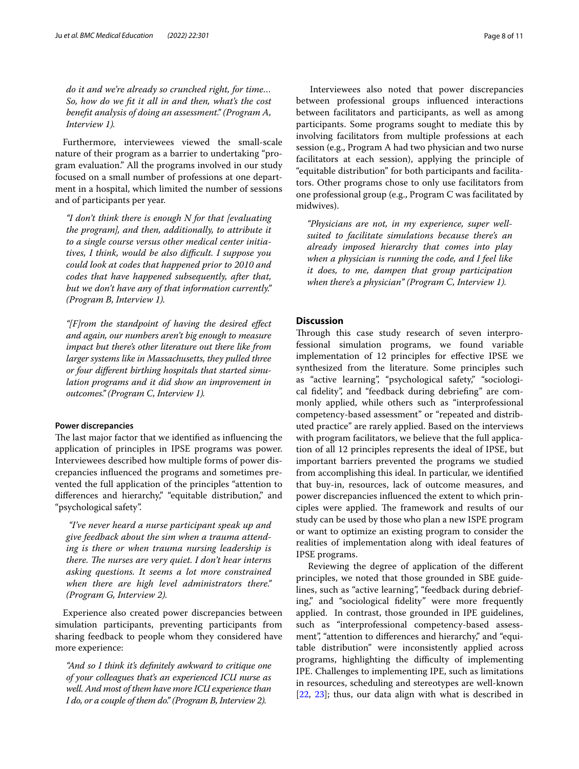*do it and we're already so crunched right, for time… So, how do we ft it all in and then, what's the cost beneft analysis of doing an assessment." (Program A, Interview 1).*

Furthermore, interviewees viewed the small-scale nature of their program as a barrier to undertaking "program evaluation." All the programs involved in our study focused on a small number of professions at one department in a hospital, which limited the number of sessions and of participants per year.

*"I don't think there is enough N for that [evaluating the program], and then, additionally, to attribute it to a single course versus other medical center initiatives, I think, would be also difcult. I suppose you could look at codes that happened prior to 2010 and codes that have happened subsequently, after that, but we don't have any of that information currently." (Program B, Interview 1).*

*"[F]rom the standpoint of having the desired efect and again, our numbers aren't big enough to measure impact but there's other literature out there like from larger systems like in Massachusetts, they pulled three or four diferent birthing hospitals that started simulation programs and it did show an improvement in outcomes." (Program C, Interview 1).*

#### **Power discrepancies**

The last major factor that we identified as influencing the application of principles in IPSE programs was power. Interviewees described how multiple forms of power discrepancies infuenced the programs and sometimes prevented the full application of the principles "attention to differences and hierarchy," "equitable distribution," and "psychological safety".

 *"I've never heard a nurse participant speak up and give feedback about the sim when a trauma attending is there or when trauma nursing leadership is there. The nurses are very quiet. I don't hear interns asking questions. It seems a lot more constrained when there are high level administrators there." (Program G, Interview 2).*

Experience also created power discrepancies between simulation participants, preventing participants from sharing feedback to people whom they considered have more experience:

*"And so I think it's defnitely awkward to critique one of your colleagues that's an experienced ICU nurse as well. And most of them have more ICU experience than I do, or a couple of them do." (Program B, Interview 2).*

 Interviewees also noted that power discrepancies between professional groups infuenced interactions between facilitators and participants, as well as among participants. Some programs sought to mediate this by involving facilitators from multiple professions at each session (e.g., Program A had two physician and two nurse facilitators at each session), applying the principle of "equitable distribution" for both participants and facilitators. Other programs chose to only use facilitators from one professional group (e.g., Program C was facilitated by midwives).

*"Physicians are not, in my experience, super wellsuited to facilitate simulations because there's an already imposed hierarchy that comes into play when a physician is running the code, and I feel like it does, to me, dampen that group participation when there's a physician" (Program C, Interview 1).*

# **Discussion**

Through this case study research of seven interprofessional simulation programs, we found variable implementation of 12 principles for efective IPSE we synthesized from the literature. Some principles such as "active learning", "psychological safety," "sociological fdelity", and "feedback during debriefng" are commonly applied, while others such as "interprofessional competency-based assessment" or "repeated and distributed practice" are rarely applied. Based on the interviews with program facilitators, we believe that the full application of all 12 principles represents the ideal of IPSE, but important barriers prevented the programs we studied from accomplishing this ideal. In particular, we identifed that buy-in, resources, lack of outcome measures, and power discrepancies infuenced the extent to which principles were applied. The framework and results of our study can be used by those who plan a new ISPE program or want to optimize an existing program to consider the realities of implementation along with ideal features of IPSE programs.

 Reviewing the degree of application of the diferent principles, we noted that those grounded in SBE guidelines, such as "active learning", "feedback during debriefing," and "sociological fdelity" were more frequently applied. In contrast, those grounded in IPE guidelines, such as "interprofessional competency-based assessment", "attention to differences and hierarchy," and "equitable distribution" were inconsistently applied across programs, highlighting the difficulty of implementing IPE. Challenges to implementing IPE, such as limitations in resources, scheduling and stereotypes are well-known [[22,](#page-10-3) [23\]](#page-10-4); thus, our data align with what is described in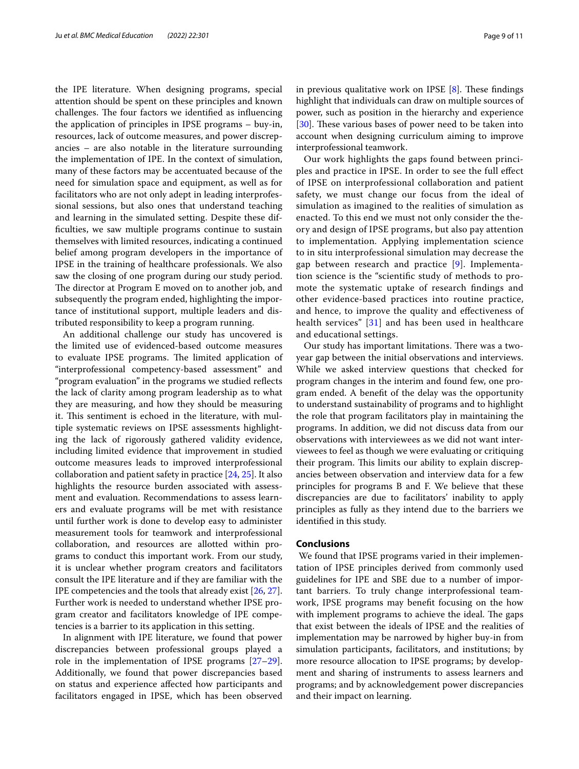the IPE literature. When designing programs, special attention should be spent on these principles and known challenges. The four factors we identified as influencing the application of principles in IPSE programs – buy-in, resources, lack of outcome measures, and power discrepancies – are also notable in the literature surrounding the implementation of IPE. In the context of simulation, many of these factors may be accentuated because of the need for simulation space and equipment, as well as for facilitators who are not only adept in leading interprofessional sessions, but also ones that understand teaching and learning in the simulated setting. Despite these diffculties, we saw multiple programs continue to sustain themselves with limited resources, indicating a continued belief among program developers in the importance of IPSE in the training of healthcare professionals. We also saw the closing of one program during our study period. The director at Program E moved on to another job, and subsequently the program ended, highlighting the importance of institutional support, multiple leaders and distributed responsibility to keep a program running.

An additional challenge our study has uncovered is the limited use of evidenced-based outcome measures to evaluate IPSE programs. The limited application of "interprofessional competency-based assessment" and "program evaluation" in the programs we studied refects the lack of clarity among program leadership as to what they are measuring, and how they should be measuring it. This sentiment is echoed in the literature, with multiple systematic reviews on IPSE assessments highlighting the lack of rigorously gathered validity evidence, including limited evidence that improvement in studied outcome measures leads to improved interprofessional collaboration and patient safety in practice [[24](#page-10-5), [25\]](#page-10-6). It also highlights the resource burden associated with assessment and evaluation. Recommendations to assess learners and evaluate programs will be met with resistance until further work is done to develop easy to administer measurement tools for teamwork and interprofessional collaboration, and resources are allotted within programs to conduct this important work. From our study, it is unclear whether program creators and facilitators consult the IPE literature and if they are familiar with the IPE competencies and the tools that already exist [\[26,](#page-10-7) [27](#page-10-8)]. Further work is needed to understand whether IPSE program creator and facilitators knowledge of IPE competencies is a barrier to its application in this setting.

In alignment with IPE literature, we found that power discrepancies between professional groups played a role in the implementation of IPSE programs [[27](#page-10-8)[–29](#page-10-9)]. Additionally, we found that power discrepancies based on status and experience afected how participants and facilitators engaged in IPSE, which has been observed in previous qualitative work on IPSE  $[8]$  $[8]$ . These findings highlight that individuals can draw on multiple sources of power, such as position in the hierarchy and experience [[30\]](#page-10-10). These various bases of power need to be taken into account when designing curriculum aiming to improve interprofessional teamwork.

Our work highlights the gaps found between principles and practice in IPSE. In order to see the full efect of IPSE on interprofessional collaboration and patient safety, we must change our focus from the ideal of simulation as imagined to the realities of simulation as enacted. To this end we must not only consider the theory and design of IPSE programs, but also pay attention to implementation. Applying implementation science to in situ interprofessional simulation may decrease the gap between research and practice [\[9](#page-9-5)]. Implementation science is the "scientifc study of methods to promote the systematic uptake of research fndings and other evidence-based practices into routine practice, and hence, to improve the quality and efectiveness of health services" [[31\]](#page-10-11) and has been used in healthcare and educational settings.

Our study has important limitations. There was a twoyear gap between the initial observations and interviews. While we asked interview questions that checked for program changes in the interim and found few, one program ended. A beneft of the delay was the opportunity to understand sustainability of programs and to highlight the role that program facilitators play in maintaining the programs. In addition, we did not discuss data from our observations with interviewees as we did not want interviewees to feel as though we were evaluating or critiquing their program. This limits our ability to explain discrepancies between observation and interview data for a few principles for programs B and F. We believe that these discrepancies are due to facilitators' inability to apply principles as fully as they intend due to the barriers we identifed in this study.

# **Conclusions**

 We found that IPSE programs varied in their implementation of IPSE principles derived from commonly used guidelines for IPE and SBE due to a number of important barriers. To truly change interprofessional teamwork, IPSE programs may beneft focusing on the how with implement programs to achieve the ideal. The gaps that exist between the ideals of IPSE and the realities of implementation may be narrowed by higher buy-in from simulation participants, facilitators, and institutions; by more resource allocation to IPSE programs; by development and sharing of instruments to assess learners and programs; and by acknowledgement power discrepancies and their impact on learning.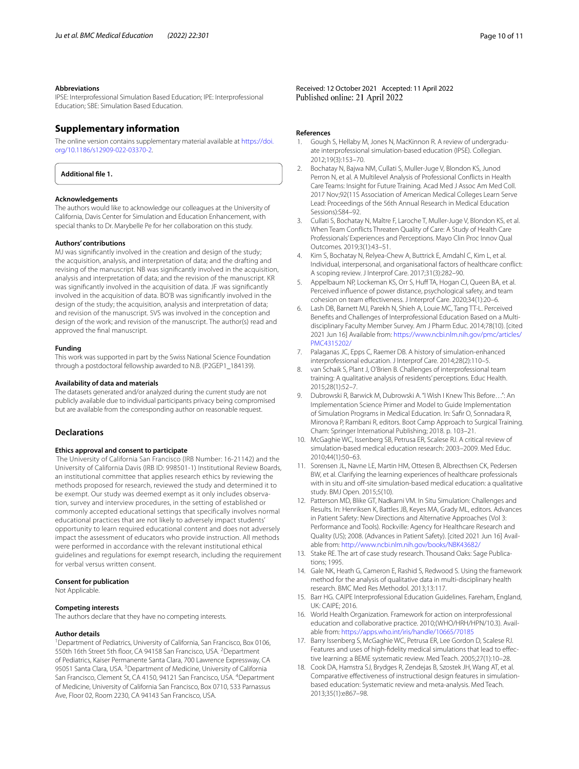#### **Abbreviations**

IPSE: Interprofessional Simulation Based Education; IPE: Interprofessional Education; SBE: Simulation Based Education.

# **Supplementary information**

The online version contains supplementary material available at [https://doi.](https://doi.org/10.1186/s12909-022-03370-2) [org/10.1186/s12909-022-03370-2](https://doi.org/10.1186/s12909-022-03370-2).

<span id="page-9-14"></span>**Additional fle 1.**

#### **Acknowledgements**

The authors would like to acknowledge our colleagues at the University of California, Davis Center for Simulation and Education Enhancement, with special thanks to Dr. Marybelle Pe for her collaboration on this study.

#### **Authors' contributions**

MJ was signifcantly involved in the creation and design of the study; the acquisition, analysis, and interpretation of data; and the drafting and revising of the manuscript. NB was signifcantly involved in the acquisition, analysis and interpretation of data; and the revision of the manuscript. KR was signifcantly involved in the acquisition of data. JF was signifcantly involved in the acquisition of data. BO'B was signifcantly involved in the design of the study; the acquisition, analysis and interpretation of data; and revision of the manuscript. SVS was involved in the conception and design of the work; and revision of the manuscript. The author(s) read and approved the fnal manuscript.

#### **Funding**

This work was supported in part by the Swiss National Science Foundation through a postdoctoral fellowship awarded to N.B. (P2GEP1\_184139).

#### **Availability of data and materials**

The datasets generated and/or analyzed during the current study are not publicly available due to individual participants privacy being compromised but are available from the corresponding author on reasonable request.

## **Declarations**

#### **Ethics approval and consent to participate**

 The University of California San Francisco (IRB Number: 16-21142) and the University of California Davis (IRB ID: 998501-1) Institutional Review Boards, an institutional committee that applies research ethics by reviewing the methods proposed for research, reviewed the study and determined it to be exempt. Our study was deemed exempt as it only includes observation, survey and interview procedures, in the setting of established or commonly accepted educational settings that specifically involves normal educational practices that are not likely to adversely impact students' opportunity to learn required educational content and does not adversely impact the assessment of educators who provide instruction. All methods were performed in accordance with the relevant institutional ethical guidelines and regulations for exempt research, including the requirement for verbal versus written consent.

#### **Consent for publication**

Not Applicable.

# **Competing interests**

The authors declare that they have no competing interests.

#### **Author details**

<sup>1</sup> Department of Pediatrics, University of California, San Francisco, Box 0106, 550th 16th Street 5th floor, CA 94158 San Francisco, USA. <sup>2</sup>Department of Pediatrics, Kaiser Permanente Santa Clara, 700 Lawrence Expressway, CA 95051 Santa Clara, USA.<sup>3</sup> Department of Medicine, University of California San Francisco, Clement St, CA 4150, 94121 San Francisco, USA. <sup>4</sup>Department of Medicine, University of California San Francisco, Box 0710, 533 Parnassus Ave, Floor 02, Room 2230, CA 94143 San Francisco, USA.

Received: 12 October 2021 Accepted: 11 April 2022

#### **References**

- <span id="page-9-0"></span>1. Gough S, Hellaby M, Jones N, MacKinnon R. A review of undergraduate interprofessional simulation-based education (IPSE). Collegian. 2012;19(3):153–70.
- <span id="page-9-1"></span>2. Bochatay N, Bajwa NM, Cullati S, Muller-Juge V, Blondon KS, Junod Perron N, et al. A Multilevel Analysis of Professional Conficts in Health Care Teams: Insight for Future Training. Acad Med J Assoc Am Med Coll. 2017 Nov;92(11S Association of American Medical Colleges Learn Serve Lead: Proceedings of the 56th Annual Research in Medical Education Sessions):S84–92.
- 3. Cullati S, Bochatay N, Maître F, Laroche T, Muller-Juge V, Blondon KS, et al. When Team Conficts Threaten Quality of Care: A Study of Health Care Professionals' Experiences and Perceptions. Mayo Clin Proc Innov Qual Outcomes. 2019;3(1):43–51.
- <span id="page-9-2"></span>4. Kim S, Bochatay N, Relyea-Chew A, Buttrick E, Amdahl C, Kim L, et al. Individual, interpersonal, and organisational factors of healthcare confict: A scoping review. J Interprof Care. 2017;31(3):282–90.
- <span id="page-9-3"></span>Appelbaum NP, Lockeman KS, Orr S, Huff TA, Hogan CJ, Queen BA, et al. Perceived infuence of power distance, psychological safety, and team cohesion on team efectiveness. J Interprof Care. 2020;34(1):20–6.
- 6. Lash DB, Barnett MJ, Parekh N, Shieh A, Louie MC, Tang TT-L. Perceived Benefts and Challenges of Interprofessional Education Based on a Multidisciplinary Faculty Member Survey. Am J Pharm Educ. 2014;78(10). [cited 2021 Jun 16] Available from: [https://www.ncbi.nlm.nih.gov/pmc/articles/](https://www.ncbi.nlm.nih.gov/pmc/articles/PMC4315202/) [PMC4315202/](https://www.ncbi.nlm.nih.gov/pmc/articles/PMC4315202/)
- 7. Palaganas JC, Epps C, Raemer DB. A history of simulation-enhanced interprofessional education. J Interprof Care. 2014;28(2):110–5.
- <span id="page-9-4"></span>8. van Schaik S, Plant J, O'Brien B. Challenges of interprofessional team training: A qualitative analysis of residents' perceptions. Educ Health. 2015;28(1):52–7.
- <span id="page-9-5"></span>9. Dubrowski R, Barwick M, Dubrowski A. "I Wish I Knew This Before…": An Implementation Science Primer and Model to Guide Implementation of Simulation Programs in Medical Education. In: Safr O, Sonnadara R, Mironova P, Rambani R, editors. Boot Camp Approach to Surgical Training. Cham: Springer International Publishing; 2018. p. 103–21.
- <span id="page-9-6"></span>10. McGaghie WC, Issenberg SB, Petrusa ER, Scalese RJ. A critical review of simulation-based medical education research: 2003–2009. Med Educ. 2010;44(1):50–63.
- <span id="page-9-7"></span>11. Sorensen JL, Navne LE, Martin HM, Ottesen B, Albrecthsen CK, Pedersen BW, et al. Clarifying the learning experiences of healthcare professionals with in situ and off-site simulation-based medical education: a qualitative study. BMJ Open. 2015;5(10).
- <span id="page-9-8"></span>12. Patterson MD, Blike GT, Nadkarni VM. In Situ Simulation: Challenges and Results. In: Henriksen K, Battles JB, Keyes MA, Grady ML, editors. Advances in Patient Safety: New Directions and Alternative Approaches (Vol 3: Performance and Tools). Rockville: Agency for Healthcare Research and Quality (US); 2008. (Advances in Patient Safety). [cited 2021 Jun 16] Available from:<http://www.ncbi.nlm.nih.gov/books/NBK43682/>
- <span id="page-9-9"></span>13. Stake RE. The art of case study research. Thousand Oaks: Sage Publications; 1995.
- <span id="page-9-10"></span>14. Gale NK, Heath G, Cameron E, Rashid S, Redwood S. Using the framework method for the analysis of qualitative data in multi-disciplinary health research. BMC Med Res Methodol. 2013;13:117.
- <span id="page-9-11"></span>15. Barr HG. CAIPE Interprofessional Education Guidelines. Fareham, England, UK: CAIPE; 2016.
- <span id="page-9-12"></span>16. World Health Organization. Framework for action on interprofessional education and collaborative practice. 2010;(WHO/HRH/HPN/10.3). Available from:<https://apps.who.int/iris/handle/10665/70185>
- <span id="page-9-13"></span>17. Barry Issenberg S, McGaghie WC, Petrusa ER, Lee Gordon D, Scalese RJ. Features and uses of high-fdelity medical simulations that lead to efective learning: a BEME systematic review. Med Teach. 2005;27(1):10–28.
- 18. Cook DA, Hamstra SJ, Brydges R, Zendejas B, Szostek JH, Wang AT, et al. Comparative efectiveness of instructional design features in simulationbased education: Systematic review and meta-analysis. Med Teach. 2013;35(1):e867–98.